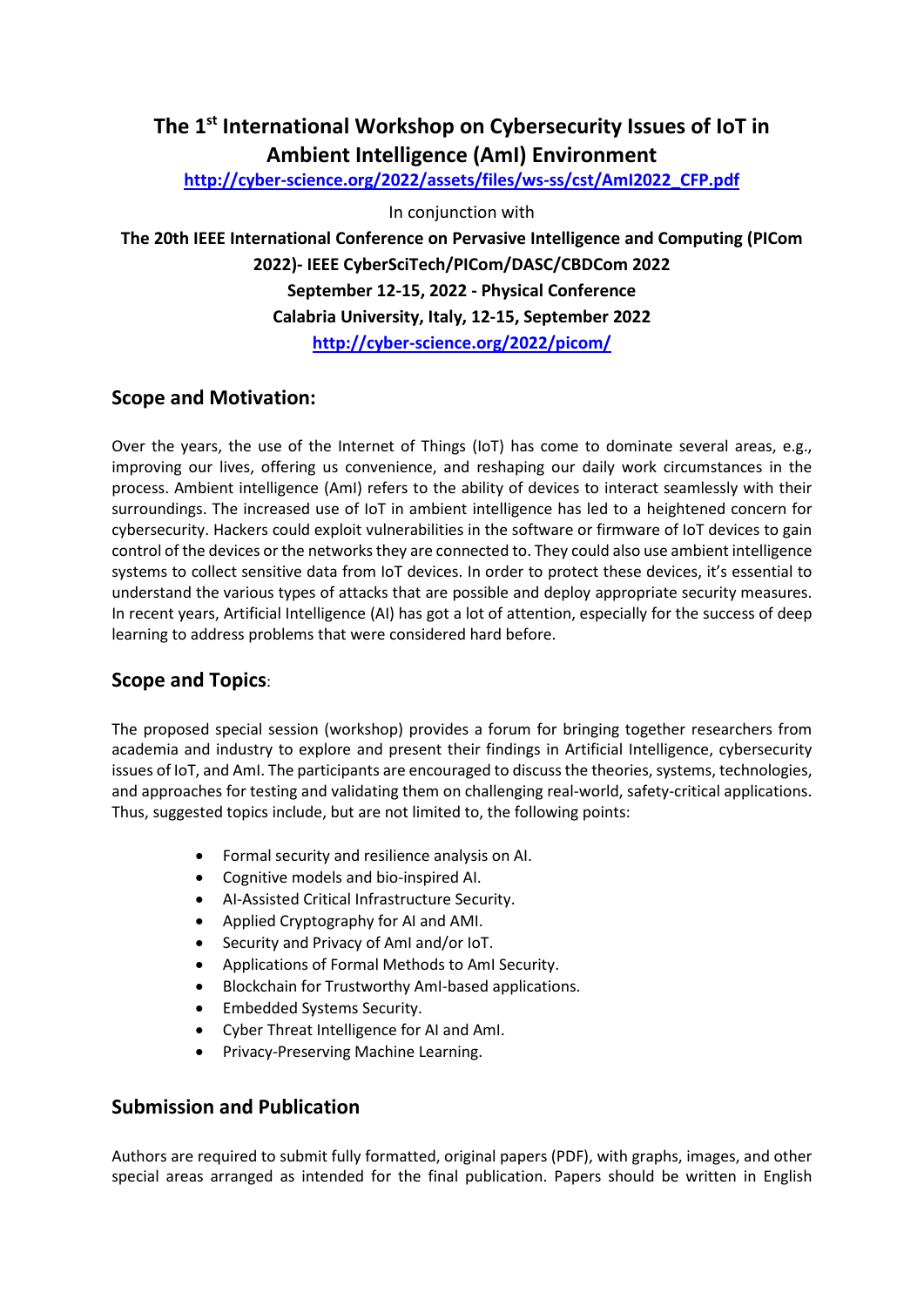# **The 1st International Workshop on Cybersecurity Issues of IoT in Ambient Intelligence (AmI) Environment**

**[http://cyber-science.org/2022/assets/files/ws-ss/cst/AmI2022\\_CFP.pdf](http://cyber-science.org/2022/assets/files/ws-ss/cst/AmI2022_CFP.pdf)**

In conjunction with

**The 20th IEEE International Conference on Pervasive Intelligence and Computing (PICom 2022)- IEEE CyberSciTech/PICom/DASC/CBDCom 2022 September 12-15, 2022 - Physical Conference Calabria University, Italy, 12-15, September 2022 <http://cyber-science.org/2022/picom/>**

## **Scope and Motivation:**

Over the years, the use of the Internet of Things (IoT) has come to dominate several areas, e.g., improving our lives, offering us convenience, and reshaping our daily work circumstances in the process. Ambient intelligence (AmI) refers to the ability of devices to interact seamlessly with their surroundings. The increased use of IoT in ambient intelligence has led to a heightened concern for cybersecurity. Hackers could exploit vulnerabilities in the software or firmware of IoT devices to gain control of the devices or the networks they are connected to. They could also use ambient intelligence systems to collect sensitive data from IoT devices. In order to protect these devices, it's essential to understand the various types of attacks that are possible and deploy appropriate security measures. In recent years, Artificial Intelligence (AI) has got a lot of attention, especially for the success of deep learning to address problems that were considered hard before.

# **Scope and Topics**:

The proposed special session (workshop) provides a forum for bringing together researchers from academia and industry to explore and present their findings in Artificial Intelligence, cybersecurity issues of IoT, and AmI. The participants are encouraged to discuss the theories, systems, technologies, and approaches for testing and validating them on challenging real-world, safety-critical applications. Thus, suggested topics include, but are not limited to, the following points:

- Formal security and resilience analysis on AI.
- Cognitive models and bio-inspired AI.
- AI-Assisted Critical Infrastructure Security.
- Applied Cryptography for AI and AMI.
- Security and Privacy of AmI and/or IoT.
- Applications of Formal Methods to AmI Security.
- Blockchain for Trustworthy AmI-based applications.
- Embedded Systems Security.
- Cyber Threat Intelligence for AI and AmI.
- Privacy-Preserving Machine Learning.

## **Submission and Publication**

Authors are required to submit fully formatted, original papers (PDF), with graphs, images, and other special areas arranged as intended for the final publication. Papers should be written in English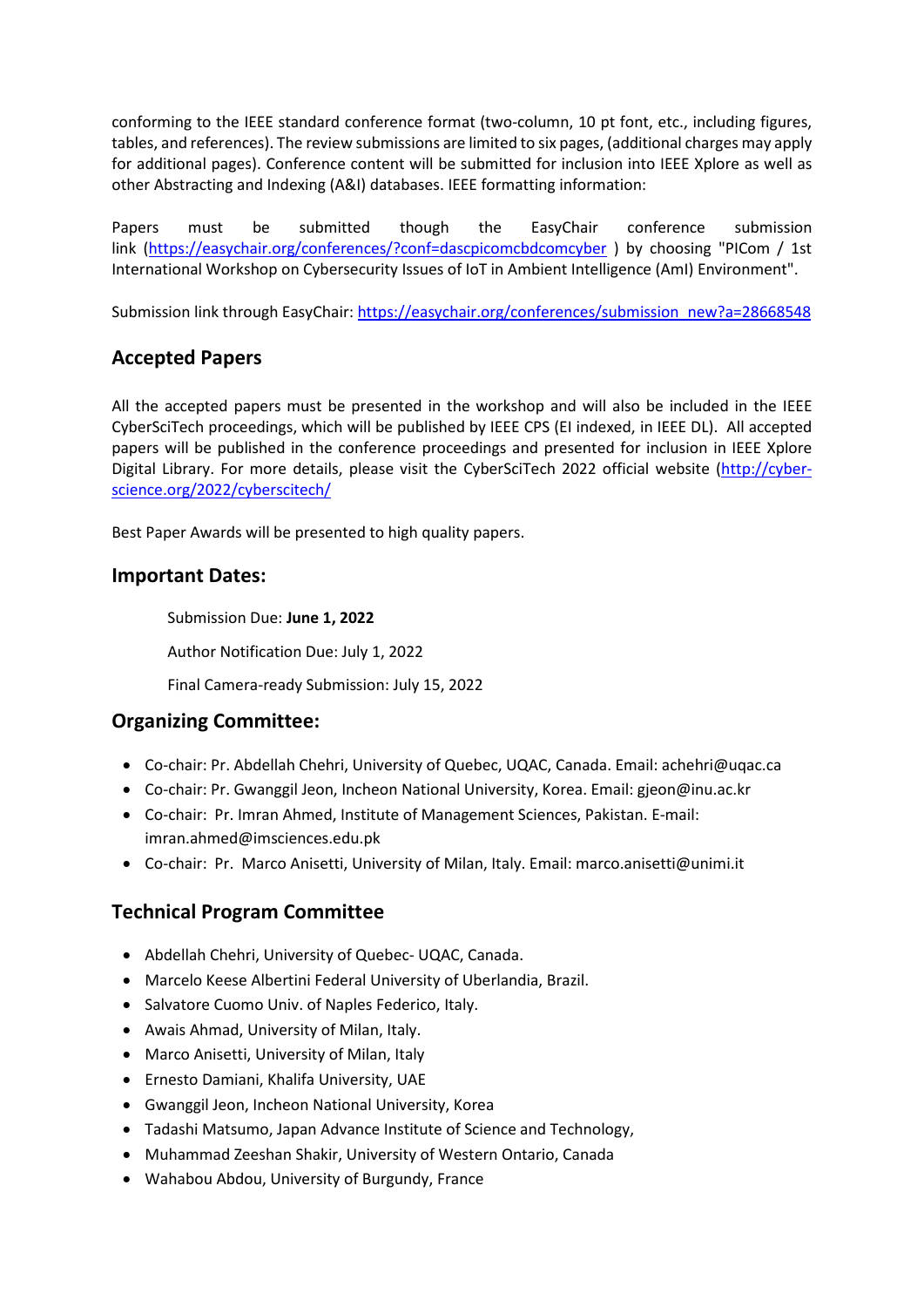conforming to the IEEE standard conference format (two-column, 10 pt font, etc., including figures, tables, and references). The review submissions are limited to six pages, (additional charges may apply for additional pages). Conference content will be submitted for inclusion into IEEE Xplore as well as other Abstracting and Indexing (A&I) databases. IEEE formatting information:

Papers must be submitted though the EasyChair conference submission link [\(https://easychair.org/conferences/?conf=dascpicomcbdcomcyber](https://easychair.org/conferences/?conf=dascpicomcbdcomcyber) ) by choosing "PICom / 1st International Workshop on Cybersecurity Issues of IoT in Ambient Intelligence (AmI) Environment".

Submission link through EasyChair: [https://easychair.org/conferences/submission\\_new?a=28668548](https://easychair.org/conferences/submission_new?a=28668548)

## **Accepted Papers**

All the accepted papers must be presented in the workshop and will also be included in the IEEE CyberSciTech proceedings, which will be published by IEEE CPS (EI indexed, in IEEE DL). All accepted papers will be published in the conference proceedings and presented for inclusion in IEEE Xplore Digital Library. For more details, please visit the CyberSciTech 2022 official website [\(http://cyber](http://cyber-science.org/2022/cyberscitech/)[science.org/2022/cyberscitech/](http://cyber-science.org/2022/cyberscitech/)

Best Paper Awards will be presented to high quality papers.

#### **Important Dates:**

Submission Due: **June 1, 2022**

Author Notification Due: July 1, 2022

Final Camera-ready Submission: July 15, 2022

#### **Organizing Committee:**

- Co-chair: Pr. Abdellah Chehri, University of Quebec, UQAC, Canada. Email: achehri@uqac.ca
- Co-chair: Pr. Gwanggil Jeon, Incheon National University, Korea. Email[: gjeon@inu.ac.kr](mailto:gjeon@inu.ac.kr)
- Co-chair: Pr. Imran Ahmed, Institute of Management Sciences, Pakistan. E-mail: imran.ahmed@imsciences.edu.pk
- Co-chair: Pr. Marco Anisetti, University of Milan, Italy. Email: marco.anisetti@unimi.it

## **Technical Program Committee**

- Abdellah Chehri, University of Quebec- UQAC, Canada.
- Marcelo Keese Albertini Federal University of Uberlandia, Brazil.
- Salvatore Cuomo Univ. of Naples Federico, Italy.
- Awais Ahmad, University of Milan, Italy.
- Marco Anisetti, University of Milan, Italy
- Ernesto Damiani, Khalifa University, UAE
- Gwanggil Jeon, Incheon National University, Korea
- Tadashi Matsumo, Japan Advance Institute of Science and Technology,
- Muhammad Zeeshan Shakir, University of Western Ontario, Canada
- Wahabou Abdou, University of Burgundy, France